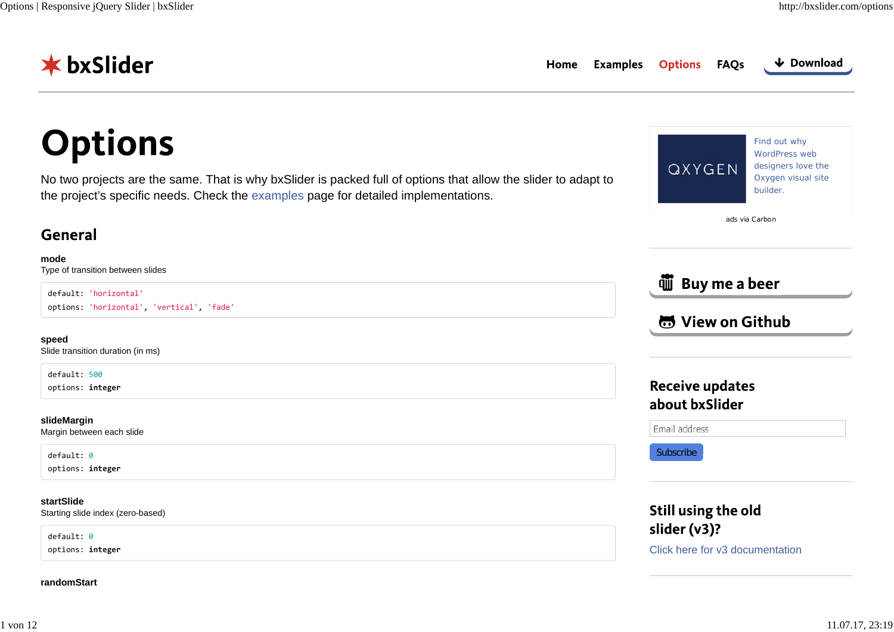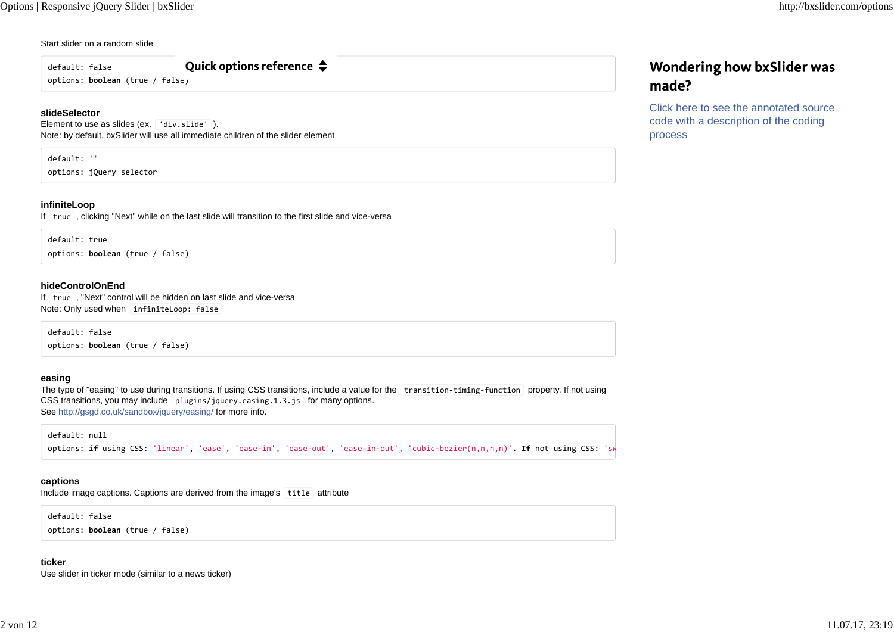### Start slider on a random slide

default: false

Quick options reference  $\clubsuit$ 

options: **boolean** (true / false)

### **slideSelector**

Element to use as slides (ex. div.slide'). Note: by default, bxSlider will use all immediate children of the slider element

### default: ''

options: jQuery selector

### **infiniteLoop**

If | true |, clicking "Next" while on the last slide will transition to the first slide and vice-versa

default: trueoptions: **boolean** (true / false)

### **hideControlOnEnd**

If | true |, "Next" control will be hidden on last slide and vice-versa Note: Only used when infiniteLoop: false

default: false options: **boolean** (true / false)

### **easing**

The type of "easing" to use during transitions. If using CSS transitions, include a value for the transition-timing-function property. If not using CSS transitions, you may include plugins/jquery.easing.1.3.js for many options. See http://gsgd.co.uk/sandbox/jquery/easing/ for more info.

default: null

options: **if** using CSS: 'linear', 'ease', 'ease‐in', 'ease‐out', 'ease‐in‐out', 'cubic‐bezier(n,n,n,n)'. **If** not using CSS: 'sw

### **captions**

Include image captions. Captions are derived from the image's title attribute

default: false options: **boolean** (true / false)

## **ticker**

Use slider in ticker mode (similar to a news ticker)

## **Wondering how bxSlider was** made?

Click here to see the annotated sourcecode with a description of the coding process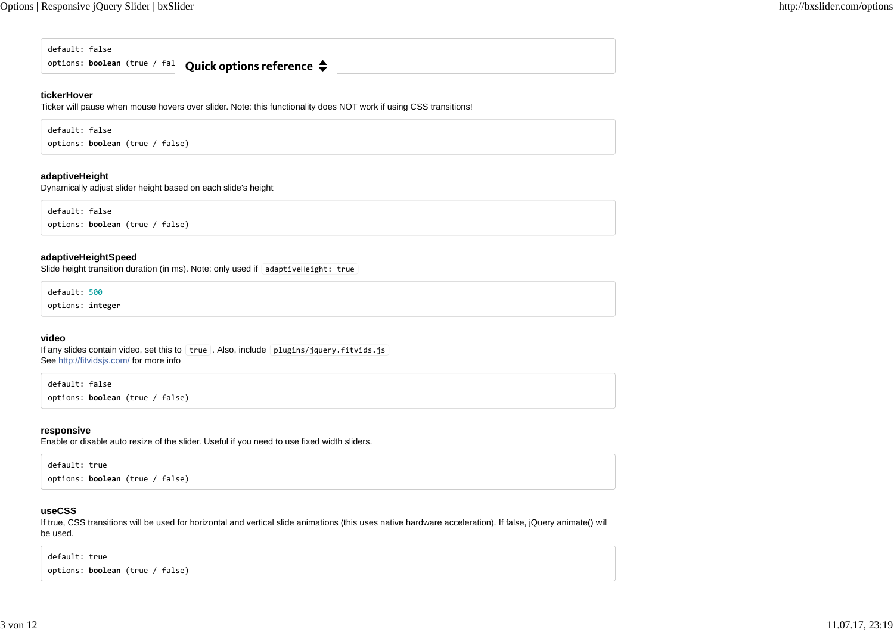default: false

options: boolean (true / fal **Quick options reference** 

## **tickerHover**

Ticker will pause when mouse hovers over slider. Note: this functionality does NOT work if using CSS transitions!

default: false

options: **boolean** (true / false)

## **adaptiveHeight**

Dynamically adjust slider height based on each slide's height

default: falseoptions: **boolean** (true / false)

### **adaptiveHeightSpeed**

Slide height transition duration (in ms). Note: only used if adaptiveHeight: true

default: 500

options: **integer**

### **video**

If any slides contain video, set this to  $\lceil$  true . Also, include plugins/jquery. fitvids. js See http://fitvidsjs.com/ for more info

default: false options: **boolean** (true / false)

### **responsive**

Enable or disable auto resize of the slider. Useful if you need to use fixed width sliders.

default: true

options: **boolean** (true / false)

## **useCSS**

If true, CSS transitions will be used for horizontal and vertical slide animations (this uses native hardware acceleration). If false, jQuery animate() will be used.

default: true options: **boolean** (true / false)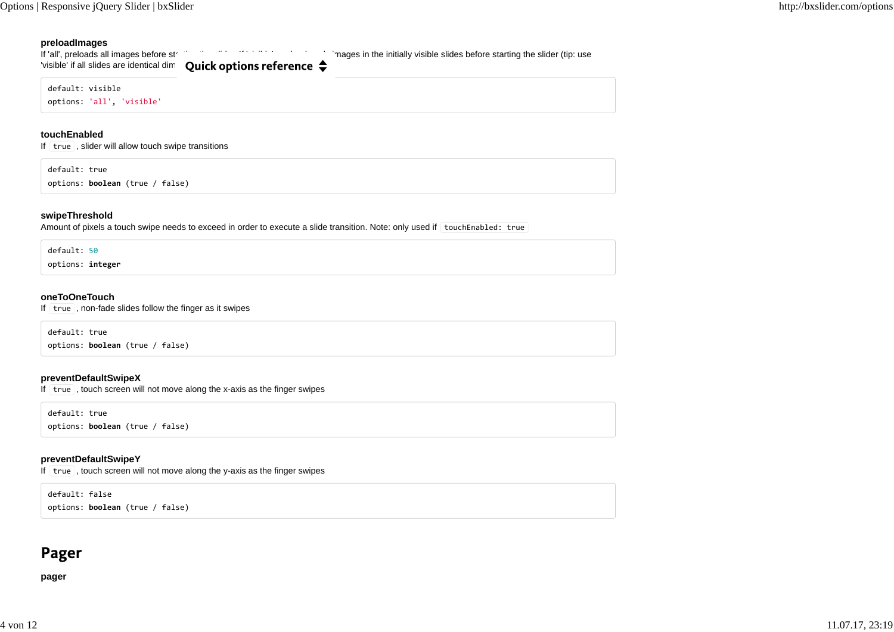### **preloadImages**

If 'all', preloads all images before stratting the slider (tip: use 'visible' if all slides are identical dim  $\alpha$  Ouick options reference  $\triangle$ default: visibleoptions: 'all', 'visible'

#### **touchEnabled**

If  $\vert$  true  $\vert$ , slider will allow touch swipe transitions

default: true

options: **boolean** (true / false)

### **swipeThreshold**

Amount of pixels a touch swipe needs to exceed in order to execute a slide transition. Note: only used if touchEnabled: true

default: 50

options: **integer**

### **oneToOneTouch**

If  $\vert$  true  $\vert$ , non-fade slides follow the finger as it swipes

default: true options: **boolean** (true / false)

## **preventDefaultSwipeX**

If true , touch screen will not move along the x-axis as the finger swipes

default: true options: **boolean** (true / false)

## **preventDefaultSwipeY**

If  $\vert$  true  $\vert$ , touch screen will not move along the y-axis as the finger swipes

default: false options: **boolean** (true / false)

## Pager

**pager**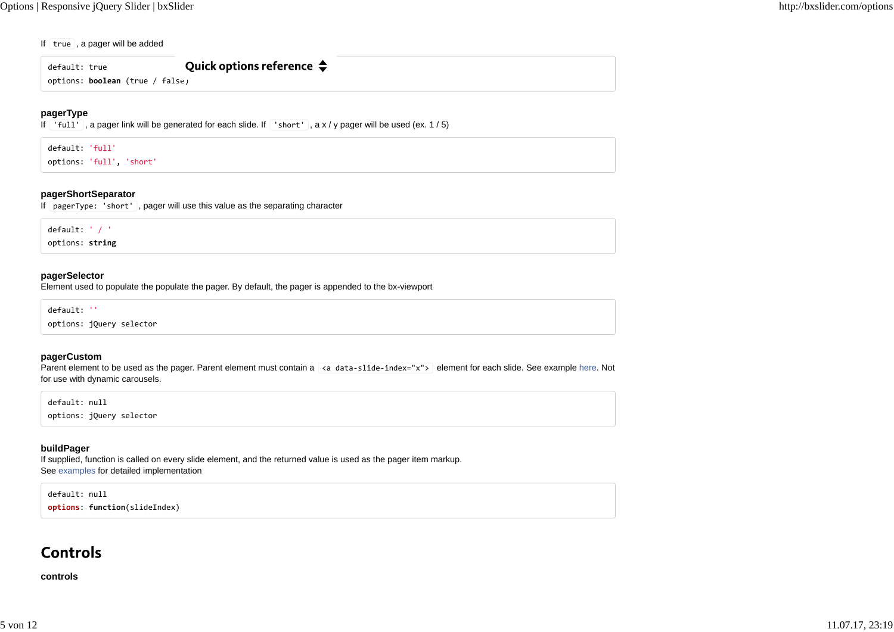#### If true , a pager will be added

Quick options reference  $\triangle$ default: true

options: **boolean** (true / false)

### **pagerType**

If 'full' , a pager link will be generated for each slide. If 'short' , a x / y pager will be used (ex. 1 / 5)

default: 'full'

options: 'full', 'short'

### **pagerShortSeparator**

If pagerType: 'short' , pager will use this value as the separating character

default: ' / ' options: **string**

### **pagerSelector**

Element used to populate the populate the pager. By default, the pager is appended to the bx-viewport

default: ''

options: jQuery selector

#### **pagerCustom**

Parent element to be used as the pager. Parent element must contain a <a data-slide-index="x"> element for each slide. See example here. Not for use with dynamic carousels.

default: null

options: jQuery selector

### **buildPager**

If supplied, function is called on every slide element, and the returned value is used as the pager item markup. See examples for detailed implementation

default: null **options**: **function**(slideIndex)

## Controls

**controls**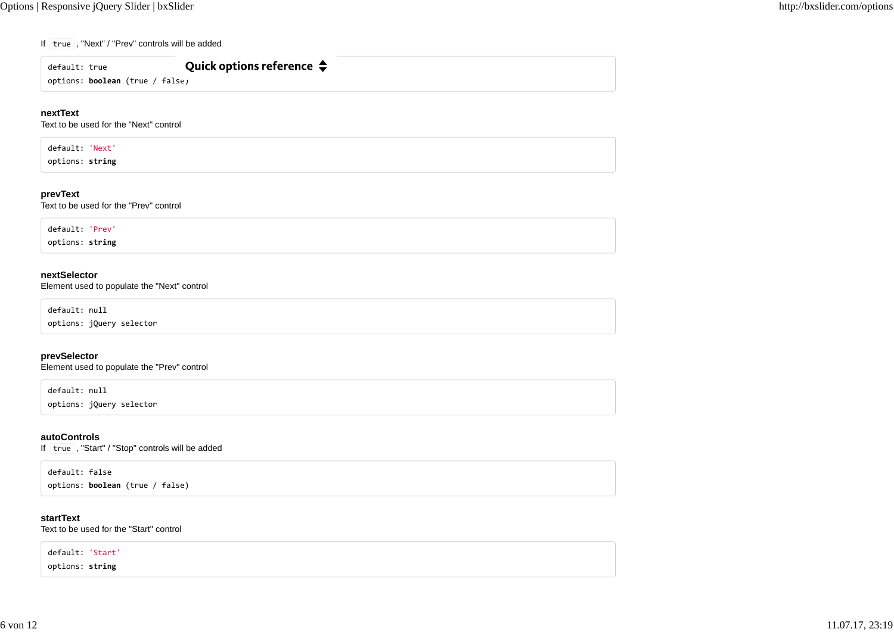#### If | true |, "Next" / "Prev" controls will be added

| default: true                          | Quick options reference $\clubsuit$ |  |
|----------------------------------------|-------------------------------------|--|
| options: <b>boolean</b> (true / false) |                                     |  |

### **nextText**

Text to be used for the "Next" control

default: 'Next'

options: **string**

### **prevText**

Text to be used for the "Prev" control

default: 'Prev'

options: **string**

### **nextSelector**

Element used to populate the "Next" control

default: null

options: jQuery selector

### **prevSelector**

Element used to populate the "Prev" control

default: null

options: jQuery selector

### **autoControls**

If | true |, "Start" / "Stop" controls will be added

default: false

options: **boolean** (true / false)

### **startText**

Text to be used for the "Start" control

default: 'Start' options: **string**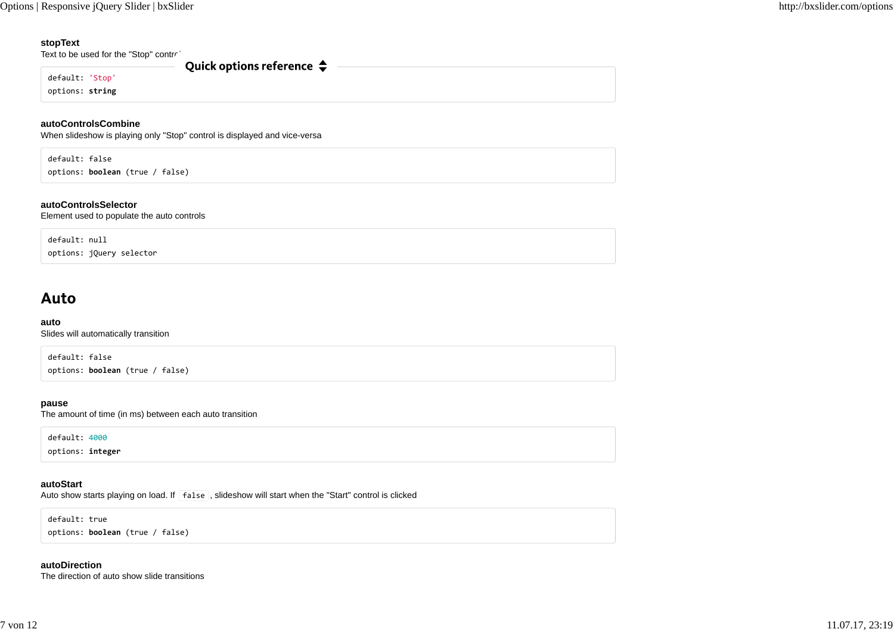### **stopText**

Text to be used for the "Stop" control

default: 'Stop'

options: **string**

### **autoControlsCombine**

When slideshow is playing only "Stop" control is displayed and vice-versa

Quick options reference  $\triangle$ 

default: false options: **boolean** (true / false)

### **autoControlsSelector**

Element used to populate the auto controls

default: nulloptions: jQuery selector

## Auto

### **auto**

Slides will automatically transition

default: false options: **boolean** (true / false)

### **pause**

The amount of time (in ms) between each auto transition

default: 4000

options: **integer**

### **autoStart**

Auto show starts playing on load. If false, slideshow will start when the "Start" control is clicked

default: true

options: **boolean** (true / false)

### **autoDirection**

The direction of auto show slide transitions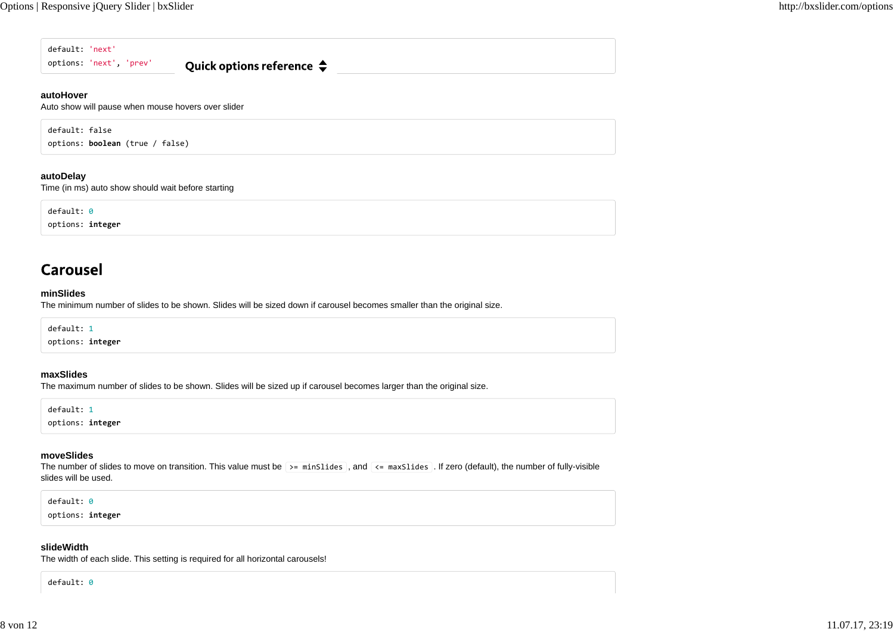default: 'next' options: 'next', 'prev' Quick options reference  $\triangle$ 

#### **autoHover**

Auto show will pause when mouse hovers over slider

default: false

options: **boolean** (true / false)

## **autoDelay**

Time (in ms) auto show should wait before starting

default: 0

options: **integer**

## **Carousel**

#### **minSlides**

The minimum number of slides to be shown. Slides will be sized down if carousel becomes smaller than the original size.

default: 1

options: **integer**

### **maxSlides**

The maximum number of slides to be shown. Slides will be sized up if carousel becomes larger than the original size.

default: 1

options: **integer**

### **moveSlides**

The number of slides to move on transition. This value must be  $\Rightarrow$  minSlides , and  $\iff$  maxSlides . If zero (default), the number of fully-visible slides will be used.

#### default: 0

options: **integer**

### **slideWidth**

The width of each slide. This setting is required for all horizontal carousels!

default: 0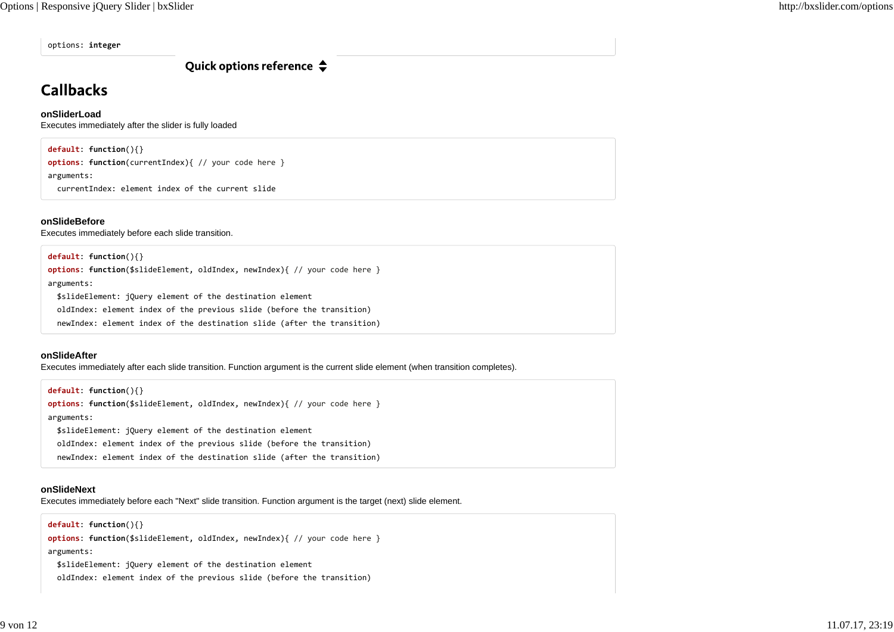options: **integer**

Quick options reference  $\triangle$ 

# **Callbacks**

## **onSliderLoad**

Executes immediately after the slider is fully loaded

## **default**: **function**(){}

**options**: **function**(currentIndex){ // your code here } arguments:

currentIndex: element index of the current slide

## **onSlideBefore**

Executes immediately before each slide transition.

## **default**: **function**(){}

**options**: **function**(\$slideElement, oldIndex, newIndex){ // your code here } arguments: \$slideElement: jQuery element of the destination element oldIndex: element index of the previous slide (before the transition) newIndex: element index of the destination slide (after the transition)

## **onSlideAfter**

Executes immediately after each slide transition. Function argument is the current slide element (when transition completes).

**default**: **function**(){} **options**: **function**(\$slideElement, oldIndex, newIndex){ // your code here } arguments: \$slideElement: jQuery element of the destination element oldIndex: element index of the previous slide (before the transition) newIndex: element index of the destination slide (after the transition)

## **onSlideNext**

Executes immediately before each "Next" slide transition. Function argument is the target (next) slide element.

**default**: **function**(){}

**options**: **function**(\$slideElement, oldIndex, newIndex){ // your code here } arguments: \$slideElement: jQuery element of the destination element

oldIndex: element index of the previous slide (before the transition)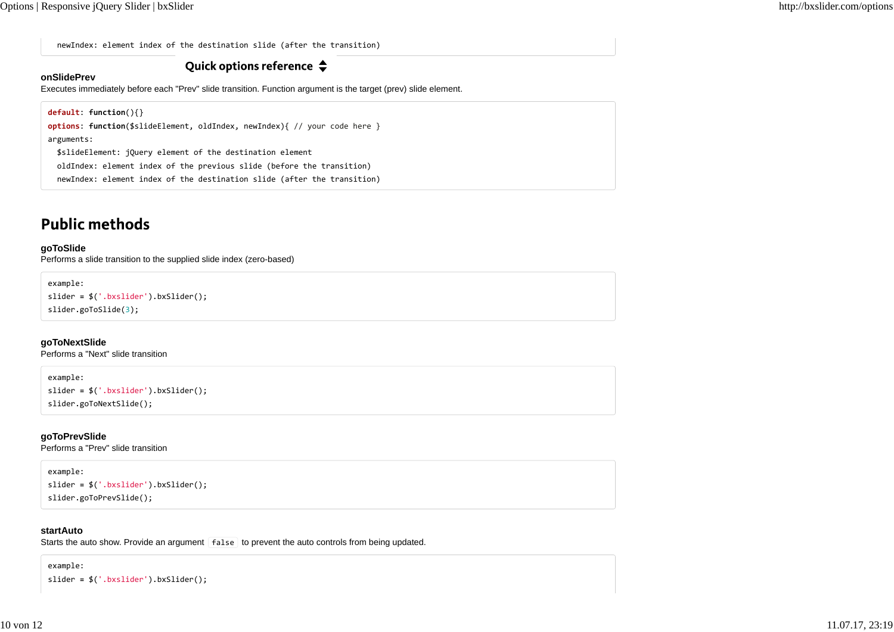newIndex: element index of the destination slide (after the transition)

## Quick options reference  $\triangle$

## **onSlidePrev**

Executes immediately before each "Prev" slide transition. Function argument is the target (prev) slide element.

```
default: function(){}
options: function($slideElement, oldIndex, newIndex){ // your code here }
arguments:
  $slideElement: jQuery element of the destination element
  oldIndex: element index of the previous slide (before the transition)
  newIndex: element index of the destination slide (after the transition)
```
## **Public methods**

### **goToSlide**

Performs a slide transition to the supplied slide index (zero-based)

```
example:
```

```
slider = $('.bxslider').bxSlider();
slider.goToSlide(3);
```
**goToNextSlide**

Performs a "Next" slide transition

example:

slider **=** \$('.bxslider').bxSlider(); slider.goToNextSlide();

**goToPrevSlide** Performs a "Prev" slide transition

example:

```
slider = $('.bxslider').bxSlider();
slider.goToPrevSlide();
```
### **startAuto**

Starts the auto show. Provide an argument false to prevent the auto controls from being updated.

example:

slider **=** \$('.bxslider').bxSlider();